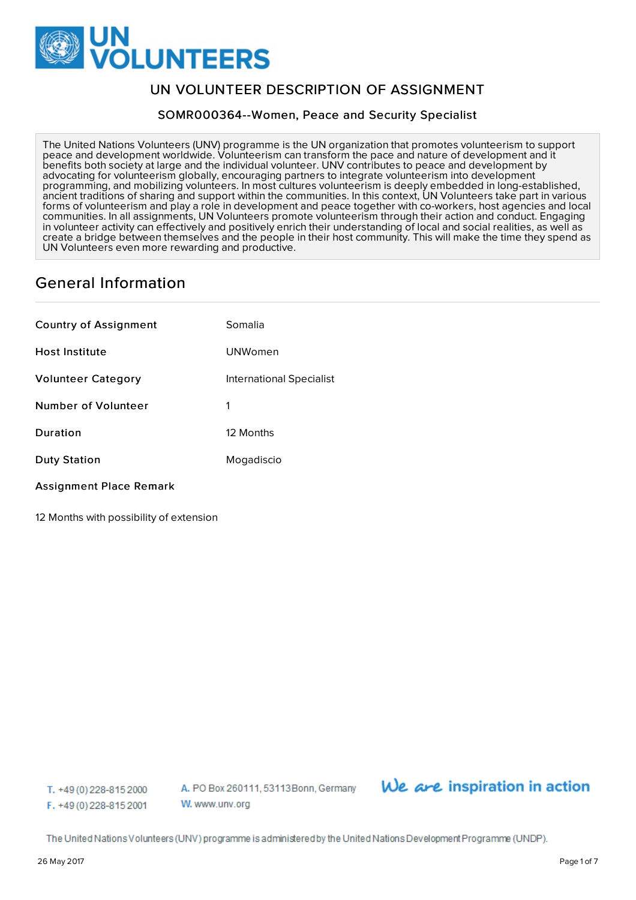

# UN VOLUNTEER DESCRIPTION OF ASSIGNMENT

SOMR000364--Women, Peace and Security Specialist

The United Nations Volunteers (UNV) programme is the UN organization that promotes volunteerism to support peace and development worldwide. Volunteerism can transform the pace and nature of development and it benefits both society at large and the individual volunteer. UNV contributes to peace and development by advocating for volunteerism globally, encouraging partners to integrate volunteerism into development programming, and mobilizing volunteers. In most cultures volunteerism is deeply embedded in long-established, ancient traditions of sharing and support within the communities. In this context, UN Volunteers take part in various forms of volunteerism and play a role in development and peace together with co-workers, host agencies and local communities. In all assignments, UN Volunteers promote volunteerism through their action and conduct. Engaging in volunteer activity can effectively and positively enrich their understanding of local and social realities, as well as create a bridge between themselves and the people in their host community. This will make the time they spend as UN Volunteers even more rewarding and productive.

# General Information

| <b>Country of Assignment</b> | Somalia                  |
|------------------------------|--------------------------|
| <b>Host Institute</b>        | UNWomen                  |
| <b>Volunteer Category</b>    | International Specialist |
| Number of Volunteer          | 1                        |
| Duration                     | 12 Months                |
| <b>Duty Station</b>          | Mogadiscio               |

## Assignment Place Remark

12 Months with possibility of extension

T. +49 (0) 228-815 2000 F. +49 (0) 228-815 2001 A. PO Box 260111, 53113 Bonn, Germany W. www.unv.org

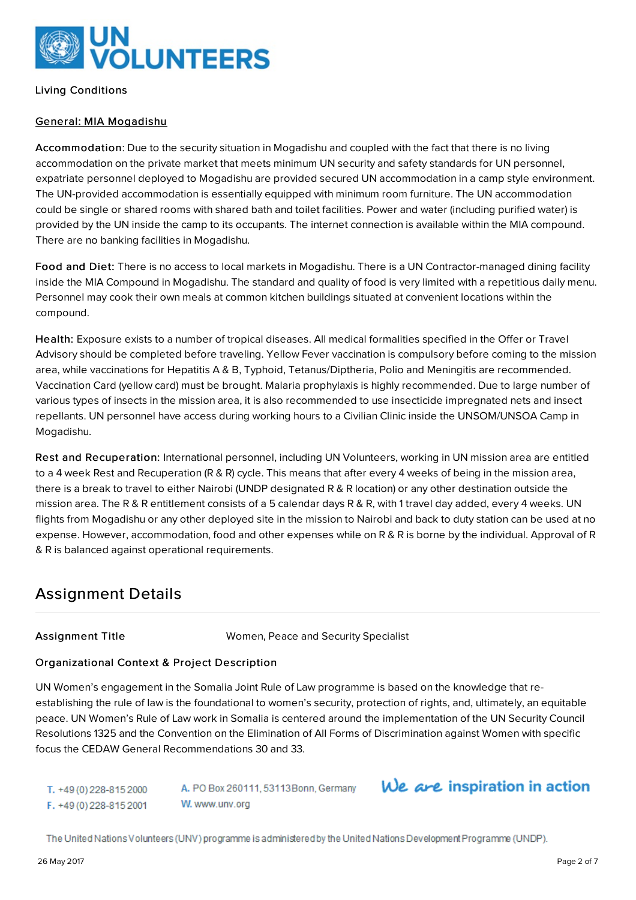

Living Conditions

## General: MIA Mogadishu

Accommodation: Due to the security situation in Mogadishu and coupled with the fact that there is no living accommodation on the private market that meets minimum UN security and safety standards for UN personnel, expatriate personnel deployed to Mogadishu are provided secured UN accommodation in a camp style environment. The UN-provided accommodation is essentially equipped with minimum room furniture. The UN accommodation could be single or shared rooms with shared bath and toilet facilities. Power and water (including purified water) is provided by the UN inside the camp to its occupants. The internet connection is available within the MIA compound. There are no banking facilities in Mogadishu.

Food and Diet: There is no access to local markets in Mogadishu. There is a UN Contractor-managed dining facility inside the MIA Compound in Mogadishu. The standard and quality of food is very limited with a repetitious daily menu. Personnel may cook their own meals at common kitchen buildings situated at convenient locations within the compound.

Health: Exposure exists to a number of tropical diseases. All medical formalities specified in the Offer or Travel Advisory should be completed before traveling. Yellow Fever vaccination is compulsory before coming to the mission area, while vaccinations for Hepatitis A & B, Typhoid, Tetanus/Diptheria, Polio and Meningitis are recommended. Vaccination Card (yellow card) must be brought. Malaria prophylaxis is highly recommended. Due to large number of various types of insects in the mission area, it is also recommended to use insecticide impregnated nets and insect repellants. UN personnel have access during working hours to a Civilian Clinic inside the UNSOM/UNSOA Camp in Mogadishu.

Rest and Recuperation: International personnel, including UN Volunteers, working in UN mission area are entitled to a 4 week Rest and Recuperation (R & R) cycle. This means that after every 4 weeks of being in the mission area, there is a break to travel to either Nairobi (UNDP designated R & R location) or any other destination outside the mission area. The R & R entitlement consists of a 5 calendar days R & R, with 1 travel day added, every 4 weeks. UN flights from Mogadishu or any other deployed site in the mission to Nairobi and back to duty station can be used at no expense. However, accommodation, food and other expenses while on R & R is borne by the individual. Approval of R & R is balanced against operational requirements.

# Assignment Details

Assignment Title Women, Peace and Security Specialist

## Organizational Context & Project Description

UN Women's engagement in the Somalia Joint Rule of Law programme is based on the knowledge that reestablishing the rule of law is the foundational to women's security, protection of rights, and, ultimately, an equitable peace. UN Women's Rule of Law work in Somalia is centered around the implementation of the UN Security Council Resolutions 1325 and the Convention on the Elimination of All Forms of Discrimination against Women with specific focus the CEDAW General Recommendations 30 and 33.

T. +49 (0) 228-815 2000 F. +49 (0) 228-815 2001 A. PO Box 260111, 53113Bonn, Germany W. www.unv.org

# We are inspiration in action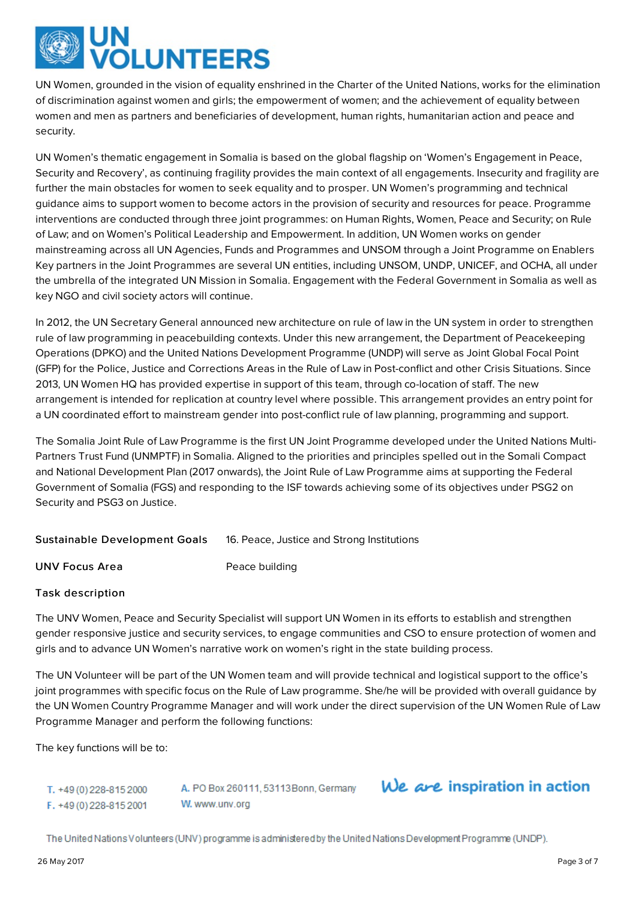

UN Women, grounded in the vision of equality enshrined in the Charter of the United Nations, works for the elimination of discrimination against women and girls; the empowerment of women; and the achievement of equality between women and men as partners and beneficiaries of development, human rights, humanitarian action and peace and security.

UN Women's thematic engagement in Somalia is based on the global flagship on 'Women's Engagement in Peace, Security and Recovery', as continuing fragility provides the main context of all engagements. Insecurity and fragility are further the main obstacles for women to seek equality and to prosper. UN Women's programming and technical guidance aims to support women to become actors in the provision of security and resources for peace. Programme interventions are conducted through three joint programmes: on Human Rights, Women, Peace and Security; on Rule of Law; and on Women's Political Leadership and Empowerment. In addition, UN Women works on gender mainstreaming across all UN Agencies, Funds and Programmes and UNSOM through a Joint Programme on Enablers Key partners in the Joint Programmes are several UN entities, including UNSOM, UNDP, UNICEF, and OCHA, all under the umbrella of the integrated UN Mission in Somalia. Engagement with the Federal Government in Somalia as well as key NGO and civil society actors will continue.

In 2012, the UN Secretary General announced new architecture on rule of law in the UN system in order to strengthen rule of law programming in peacebuilding contexts. Under this new arrangement, the Department of Peacekeeping Operations (DPKO) and the United Nations Development Programme (UNDP) will serve as Joint Global Focal Point (GFP) for the Police, Justice and Corrections Areas in the Rule of Law in Post-conflict and other Crisis Situations. Since 2013, UN Women HQ has provided expertise in support of this team, through co-location of staff. The new arrangement is intended for replication at country level where possible. This arrangement provides an entry point for a UN coordinated effort to mainstream gender into post-conflict rule of law planning, programming and support.

The Somalia Joint Rule of Law Programme is the first UN Joint Programme developed under the United Nations Multi-Partners Trust Fund (UNMPTF) in Somalia. Aligned to the priorities and principles spelled out in the Somali Compact and National Development Plan (2017 onwards), the Joint Rule of Law Programme aims at supporting the Federal Government of Somalia (FGS) and responding to the ISF towards achieving some of its objectives under PSG2 on Security and PSG3 on Justice.

Sustainable Development Goals 16. Peace, Justice and Strong Institutions

UNV Focus Area Peace building

## Task description

The UNV Women, Peace and Security Specialist will support UN Women in its efforts to establish and strengthen gender responsive justice and security services, to engage communities and CSO to ensure protection of women and girls and to advance UN Women's narrative work on women's right in the state building process.

The UN Volunteer will be part of the UN Women team and will provide technical and logistical support to the office's joint programmes with specific focus on the Rule of Law programme. She/he will be provided with overall guidance by the UN Women Country Programme Manager and will work under the direct supervision of the UN Women Rule of Law Programme Manager and perform the following functions:

The key functions will be to:

T. +49 (0) 228-815 2000 F. +49 (0) 228-815 2001

A. PO Box 260111, 53113 Bonn, Germany W. www.unv.org

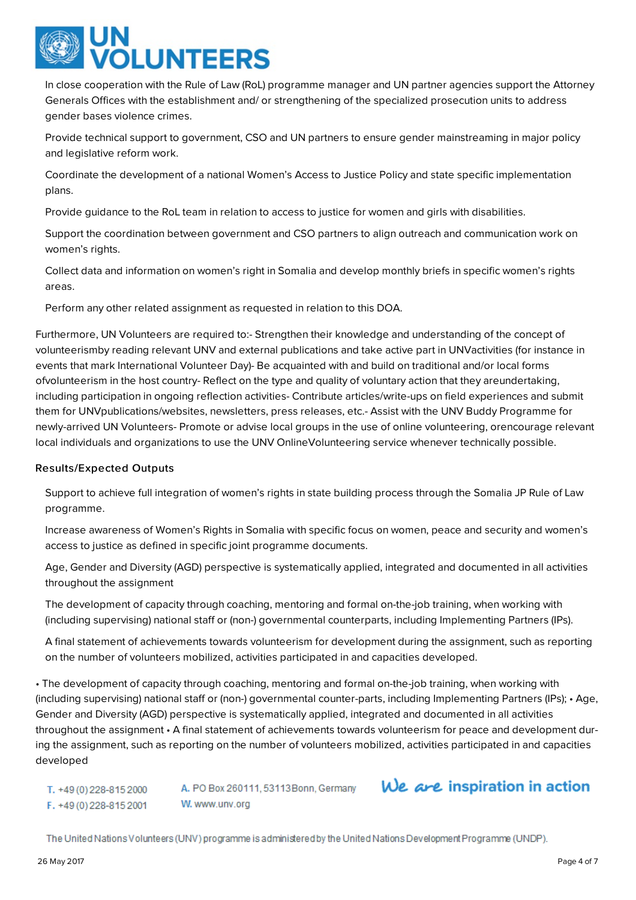

In close cooperation with the Rule of Law (RoL) programme manager and UN partner agencies support the Attorney Generals Offices with the establishment and/ or strengthening of the specialized prosecution units to address gender bases violence crimes.

Provide technical support to government, CSO and UN partners to ensure gender mainstreaming in major policy and legislative reform work.

Coordinate the development of a national Women's Access to Justice Policy and state specific implementation plans.

Provide guidance to the RoL team in relation to access to justice for women and girls with disabilities.

Support the coordination between government and CSO partners to align outreach and communication work on women's rights.

Collect data and information on women's right in Somalia and develop monthly briefs in specific women's rights areas.

Perform any other related assignment as requested in relation to this DOA.

Furthermore, UN Volunteers are required to:- Strengthen their knowledge and understanding of the concept of volunteerismby reading relevant UNV and external publications and take active part in UNVactivities (for instance in events that mark International Volunteer Day)- Be acquainted with and build on traditional and/or local forms ofvolunteerism in the host country- Reflect on the type and quality of voluntary action that they areundertaking, including participation in ongoing reflection activities- Contribute articles/write-ups on field experiences and submit them for UNVpublications/websites, newsletters, press releases, etc.- Assist with the UNV Buddy Programme for newly-arrived UN Volunteers- Promote or advise local groups in the use of online volunteering, orencourage relevant local individuals and organizations to use the UNV OnlineVolunteering service whenever technically possible.

## Results/Expected Outputs

Support to achieve full integration of women's rights in state building process through the Somalia JP Rule of Law programme.

Increase awareness of Women's Rights in Somalia with specific focus on women, peace and security and women's access to justice as defined in specific joint programme documents.

Age, Gender and Diversity (AGD) perspective is systematically applied, integrated and documented in all activities throughout the assignment

The development of capacity through coaching, mentoring and formal on-the-job training, when working with (including supervising) national staff or (non-) governmental counterparts, including Implementing Partners (IPs).

A final statement of achievements towards volunteerism for development during the assignment, such as reporting on the number of volunteers mobilized, activities participated in and capacities developed.

• The development of capacity through coaching, mentoring and formal on-the-job training, when working with (including supervising) national staff or (non-) governmental counter-parts, including Implementing Partners (IPs); • Age, Gender and Diversity (AGD) perspective is systematically applied, integrated and documented in all activities throughout the assignment • A final statement of achievements towards volunteerism for peace and development during the assignment, such as reporting on the number of volunteers mobilized, activities participated in and capacities developed

T. +49 (0) 228-815 2000 F. +49 (0) 228-815 2001

A. PO Box 260111, 53113 Bonn, Germany W. www.unv.org

# We are inspiration in action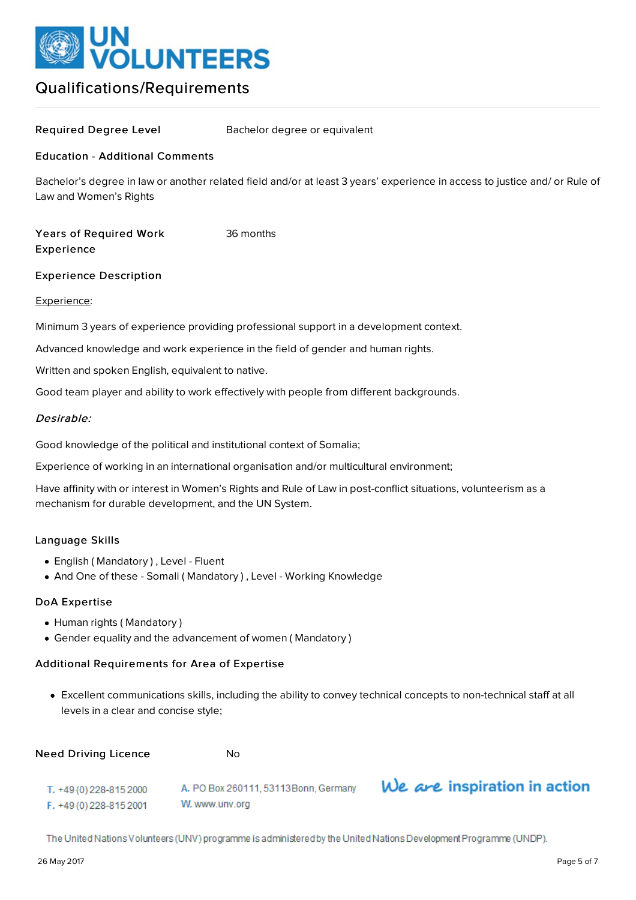

# Qualifications/Requirements

Required Degree Level Bachelor degree or equivalent

### Education - Additional Comments

Bachelor's degree in law or another related field and/or at least 3 years' experience in access to justice and/ or Rule of Law and Women's Rights

Years of Required Work Experience 36 months

#### Experience Description

#### Experience:

Minimum 3 years of experience providing professional support in a development context.

Advanced knowledge and work experience in the field of gender and human rights.

Written and spoken English, equivalent to native.

Good team player and ability to work effectively with people from different backgrounds.

## Desirable:

Good knowledge of the political and institutional context of Somalia;

Experience of working in an international organisation and/or multicultural environment;

Have affinity with or interest in Women's Rights and Rule of Law in post-conflict situations, volunteerism as a mechanism for durable development, and the UN System.

#### Language Skills

- English ( Mandatory ) , Level Fluent
- And One of these Somali (Mandatory), Level Working Knowledge

W. www.unv.org

#### DoA Expertise

- Human rights (Mandatory)
- Gender equality and the advancement of women ( Mandatory )

#### Additional Requirements for Area of Expertise

Excellent communications skills, including the ability to convey technical concepts to non-technical staff at all levels in a clear and concise style;

| Need Driving Licence    | N٥                                    |
|-------------------------|---------------------------------------|
| T. +49 (0) 228-815 2000 | A. PO Box 260111, 53113 Bonn, Germany |

We are inspiration in action

The United Nations Volunteers (UNV) programme is administered by the United Nations Development Programme (UNDP).

F. +49 (0) 228-815 2001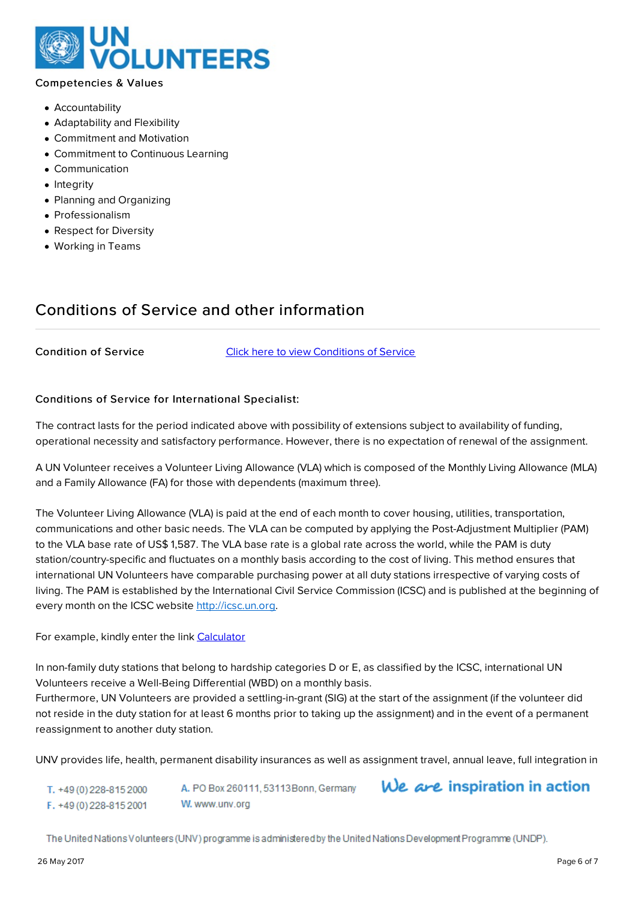

## Competencies & Values

- Accountability
- Adaptability and Flexibility
- Commitment and Motivation
- Commitment to Continuous Learning
- Communication
- Integrity
- Planning and Organizing
- Professionalism
- Respect for Diversity
- Working in Teams

# Conditions of Service and other information

Condition of Service Click here to view [Conditions](https://www.unv.org/become-volunteer/volunteer-abroad/conditions-of-service) of Service

### Conditions of Service for International Specialist:

The contract lasts for the period indicated above with possibility of extensions subject to availability of funding, operational necessity and satisfactory performance. However, there is no expectation of renewal of the assignment.

A UN Volunteer receives a Volunteer Living Allowance (VLA) which is composed of the Monthly Living Allowance (MLA) and a Family Allowance (FA) for those with dependents (maximum three).

The Volunteer Living Allowance (VLA) is paid at the end of each month to cover housing, utilities, transportation, communications and other basic needs. The VLA can be computed by applying the Post-Adjustment Multiplier (PAM) to the VLA base rate of US\$ 1,587. The VLA base rate is a global rate across the world, while the PAM is duty station/country-specific and fluctuates on a monthly basis according to the cost of living. This method ensures that international UN Volunteers have comparable purchasing power at all duty stations irrespective of varying costs of living. The PAM is established by the International Civil Service Commission (ICSC) and is published at the beginning of every month on the ICSC website [http://icsc.un.org](http://icsc.un.org/).

For example, kindly enter the link [Calculator](http://vmam.unv.org//calculator/entitlements)

In non-family duty stations that belong to hardship categories D or E, as classified by the ICSC, international UN Volunteers receive a Well-Being Differential (WBD) on a monthly basis.

Furthermore, UN Volunteers are provided a settling-in-grant (SIG) at the start of the assignment (if the volunteer did not reside in the duty station for at least 6 months prior to taking up the assignment) and in the event of a permanent reassignment to another duty station.

UNV provides life, health, permanent disability insurances as well as assignment travel, annual leave, full integration in

A. PO Box 260111, 53113 Bonn, Germany T. +49 (0) 228-815 2000 W. www.unv.org F. +49 (0) 228-815 2001

We are inspiration in action